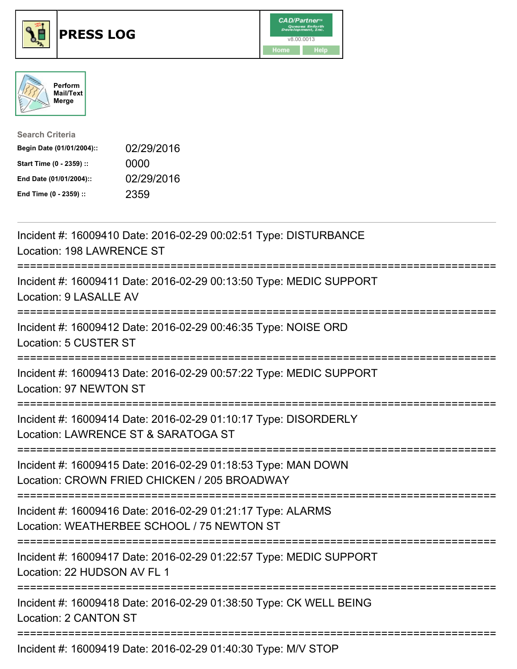





| <b>Search Criteria</b>    |            |
|---------------------------|------------|
| Begin Date (01/01/2004):: | 02/29/2016 |
| Start Time (0 - 2359) ::  | 0000       |
| End Date (01/01/2004)::   | 02/29/2016 |
| End Time (0 - 2359) ::    | 2359       |

| Incident #: 16009410 Date: 2016-02-29 00:02:51 Type: DISTURBANCE<br>Location: 198 LAWRENCE ST<br>:============                                      |
|-----------------------------------------------------------------------------------------------------------------------------------------------------|
| Incident #: 16009411 Date: 2016-02-29 00:13:50 Type: MEDIC SUPPORT<br>Location: 9 LASALLE AV                                                        |
| Incident #: 16009412 Date: 2016-02-29 00:46:35 Type: NOISE ORD<br>Location: 5 CUSTER ST<br>------------------                                       |
| Incident #: 16009413 Date: 2016-02-29 00:57:22 Type: MEDIC SUPPORT<br>Location: 97 NEWTON ST                                                        |
| Incident #: 16009414 Date: 2016-02-29 01:10:17 Type: DISORDERLY<br>Location: LAWRENCE ST & SARATOGA ST                                              |
| Incident #: 16009415 Date: 2016-02-29 01:18:53 Type: MAN DOWN<br>Location: CROWN FRIED CHICKEN / 205 BROADWAY                                       |
| Incident #: 16009416 Date: 2016-02-29 01:21:17 Type: ALARMS<br>Location: WEATHERBEE SCHOOL / 75 NEWTON ST<br>====================================== |
| Incident #: 16009417 Date: 2016-02-29 01:22:57 Type: MEDIC SUPPORT<br>Location: 22 HUDSON AV FL 1                                                   |
| Incident #: 16009418 Date: 2016-02-29 01:38:50 Type: CK WELL BEING<br>Location: 2 CANTON ST                                                         |
| Incident #: 16009419 Date: 2016-02-29 01:40:30 Type: M/V STOP                                                                                       |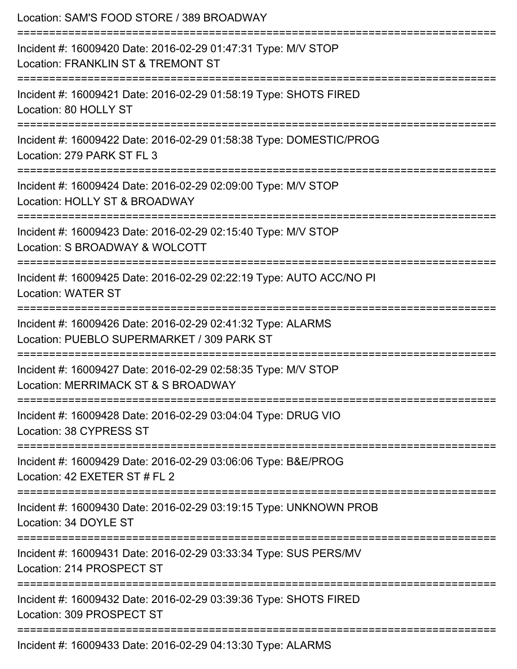| Location: SAM'S FOOD STORE / 389 BROADWAY                                                                                  |
|----------------------------------------------------------------------------------------------------------------------------|
| Incident #: 16009420 Date: 2016-02-29 01:47:31 Type: M/V STOP<br>Location: FRANKLIN ST & TREMONT ST                        |
| :===================<br>Incident #: 16009421 Date: 2016-02-29 01:58:19 Type: SHOTS FIRED<br>Location: 80 HOLLY ST          |
| Incident #: 16009422 Date: 2016-02-29 01:58:38 Type: DOMESTIC/PROG<br>Location: 279 PARK ST FL 3                           |
| Incident #: 16009424 Date: 2016-02-29 02:09:00 Type: M/V STOP<br>Location: HOLLY ST & BROADWAY                             |
| Incident #: 16009423 Date: 2016-02-29 02:15:40 Type: M/V STOP<br>Location: S BROADWAY & WOLCOTT                            |
| Incident #: 16009425 Date: 2016-02-29 02:22:19 Type: AUTO ACC/NO PI<br><b>Location: WATER ST</b>                           |
| Incident #: 16009426 Date: 2016-02-29 02:41:32 Type: ALARMS<br>Location: PUEBLO SUPERMARKET / 309 PARK ST                  |
| Incident #: 16009427 Date: 2016-02-29 02:58:35 Type: M/V STOP<br>Location: MERRIMACK ST & S BROADWAY                       |
| ==============================<br>Incident #: 16009428 Date: 2016-02-29 03:04:04 Type: DRUG VIO<br>Location: 38 CYPRESS ST |
| Incident #: 16009429 Date: 2016-02-29 03:06:06 Type: B&E/PROG<br>Location: 42 EXETER ST # FL 2                             |
| Incident #: 16009430 Date: 2016-02-29 03:19:15 Type: UNKNOWN PROB<br>Location: 34 DOYLE ST                                 |
| =====================<br>Incident #: 16009431 Date: 2016-02-29 03:33:34 Type: SUS PERS/MV<br>Location: 214 PROSPECT ST     |
| Incident #: 16009432 Date: 2016-02-29 03:39:36 Type: SHOTS FIRED<br>Location: 309 PROSPECT ST                              |
| Incident #: 16009433 Date: 2016-02-29 04:13:30 Type: ALARMS                                                                |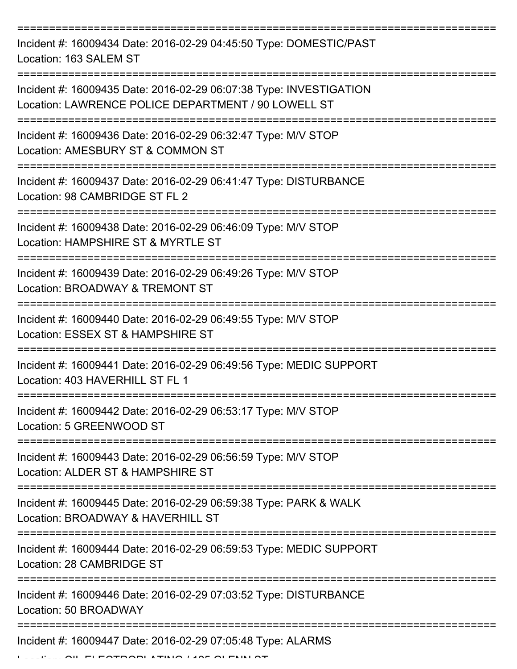=========================================================================== Incident #: 16009434 Date: 2016-02-29 04:45:50 Type: DOMESTIC/PAST Location: 163 SALEM ST =========================================================================== Incident #: 16009435 Date: 2016-02-29 06:07:38 Type: INVESTIGATION Location: LAWRENCE POLICE DEPARTMENT / 90 LOWELL ST =========================================================================== Incident #: 16009436 Date: 2016-02-29 06:32:47 Type: M/V STOP Location: AMESBURY ST & COMMON ST =========================================================================== Incident #: 16009437 Date: 2016-02-29 06:41:47 Type: DISTURBANCE Location: 98 CAMBRIDGE ST FL 2 =========================================================================== Incident #: 16009438 Date: 2016-02-29 06:46:09 Type: M/V STOP Location: HAMPSHIRE ST & MYRTLE ST =========================================================================== Incident #: 16009439 Date: 2016-02-29 06:49:26 Type: M/V STOP Location: BROADWAY & TREMONT ST =========================================================================== Incident #: 16009440 Date: 2016-02-29 06:49:55 Type: M/V STOP Location: ESSEX ST & HAMPSHIRE ST =========================================================================== Incident #: 16009441 Date: 2016-02-29 06:49:56 Type: MEDIC SUPPORT Location: 403 HAVERHILL ST FL 1 =========================================================================== Incident #: 16009442 Date: 2016-02-29 06:53:17 Type: M/V STOP Location: 5 GREENWOOD ST =========================================================================== Incident #: 16009443 Date: 2016-02-29 06:56:59 Type: M/V STOP Location: ALDER ST & HAMPSHIRE ST =========================================================================== Incident #: 16009445 Date: 2016-02-29 06:59:38 Type: PARK & WALK Location: BROADWAY & HAVERHILL ST =========================================================================== Incident #: 16009444 Date: 2016-02-29 06:59:53 Type: MEDIC SUPPORT Location: 28 CAMBRIDGE ST =========================================================================== Incident #: 16009446 Date: 2016-02-29 07:03:52 Type: DISTURBANCE Location: 50 BROADWAY =========================================================================== Incident #: 16009447 Date: 2016-02-29 07:05:48 Type: ALARMS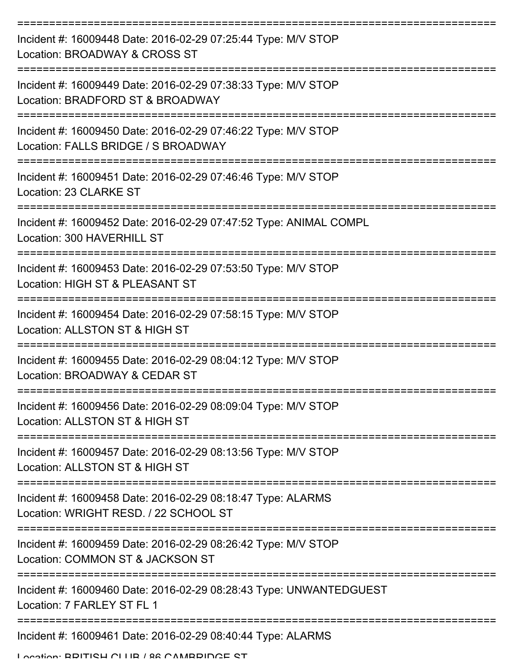| Incident #: 16009448 Date: 2016-02-29 07:25:44 Type: M/V STOP<br>Location: BROADWAY & CROSS ST       |
|------------------------------------------------------------------------------------------------------|
| Incident #: 16009449 Date: 2016-02-29 07:38:33 Type: M/V STOP<br>Location: BRADFORD ST & BROADWAY    |
| Incident #: 16009450 Date: 2016-02-29 07:46:22 Type: M/V STOP<br>Location: FALLS BRIDGE / S BROADWAY |
| Incident #: 16009451 Date: 2016-02-29 07:46:46 Type: M/V STOP<br>Location: 23 CLARKE ST              |
| Incident #: 16009452 Date: 2016-02-29 07:47:52 Type: ANIMAL COMPL<br>Location: 300 HAVERHILL ST      |
| Incident #: 16009453 Date: 2016-02-29 07:53:50 Type: M/V STOP<br>Location: HIGH ST & PLEASANT ST     |
| Incident #: 16009454 Date: 2016-02-29 07:58:15 Type: M/V STOP<br>Location: ALLSTON ST & HIGH ST      |
| Incident #: 16009455 Date: 2016-02-29 08:04:12 Type: M/V STOP<br>Location: BROADWAY & CEDAR ST       |
| Incident #: 16009456 Date: 2016-02-29 08:09:04 Type: M/V STOP<br>Location: ALLSTON ST & HIGH ST      |
| Incident #: 16009457 Date: 2016-02-29 08:13:56 Type: M/V STOP<br>Location: ALLSTON ST & HIGH ST      |
| Incident #: 16009458 Date: 2016-02-29 08:18:47 Type: ALARMS<br>Location: WRIGHT RESD, / 22 SCHOOL ST |
| Incident #: 16009459 Date: 2016-02-29 08:26:42 Type: M/V STOP<br>Location: COMMON ST & JACKSON ST    |
| Incident #: 16009460 Date: 2016-02-29 08:28:43 Type: UNWANTEDGUEST<br>Location: 7 FARLEY ST FL 1     |
| Incident #: 16009461 Date: 2016-02-29 08:40:44 Type: ALARMS                                          |

Location: BRITISH CLUB / 86 CAMBRIDGE ST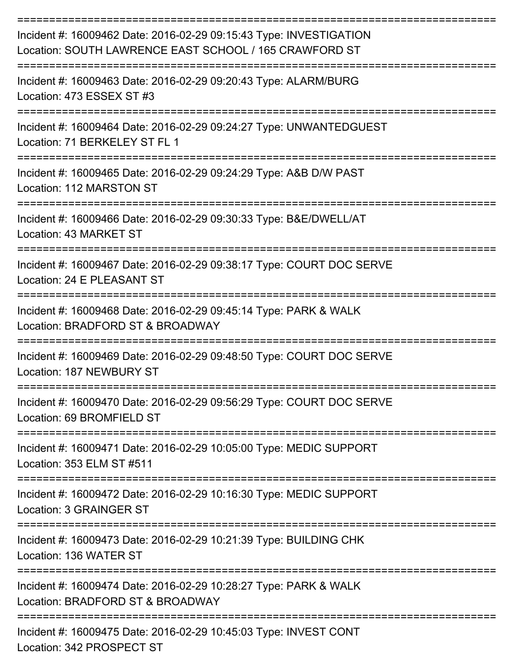| Incident #: 16009462 Date: 2016-02-29 09:15:43 Type: INVESTIGATION<br>Location: SOUTH LAWRENCE EAST SCHOOL / 165 CRAWFORD ST |
|------------------------------------------------------------------------------------------------------------------------------|
| Incident #: 16009463 Date: 2016-02-29 09:20:43 Type: ALARM/BURG<br>Location: 473 ESSEX ST #3                                 |
| Incident #: 16009464 Date: 2016-02-29 09:24:27 Type: UNWANTEDGUEST<br>Location: 71 BERKELEY ST FL 1                          |
| Incident #: 16009465 Date: 2016-02-29 09:24:29 Type: A&B D/W PAST<br>Location: 112 MARSTON ST                                |
| Incident #: 16009466 Date: 2016-02-29 09:30:33 Type: B&E/DWELL/AT<br>Location: 43 MARKET ST                                  |
| Incident #: 16009467 Date: 2016-02-29 09:38:17 Type: COURT DOC SERVE<br>Location: 24 E PLEASANT ST                           |
| Incident #: 16009468 Date: 2016-02-29 09:45:14 Type: PARK & WALK<br>Location: BRADFORD ST & BROADWAY                         |
| Incident #: 16009469 Date: 2016-02-29 09:48:50 Type: COURT DOC SERVE<br>Location: 187 NEWBURY ST                             |
| Incident #: 16009470 Date: 2016-02-29 09:56:29 Type: COURT DOC SERVE<br>Location: 69 BROMFIELD ST                            |
| Incident #: 16009471 Date: 2016-02-29 10:05:00 Type: MEDIC SUPPORT<br>Location: 353 ELM ST #511                              |
| Incident #: 16009472 Date: 2016-02-29 10:16:30 Type: MEDIC SUPPORT<br>Location: 3 GRAINGER ST                                |
| Incident #: 16009473 Date: 2016-02-29 10:21:39 Type: BUILDING CHK<br>Location: 136 WATER ST                                  |
| Incident #: 16009474 Date: 2016-02-29 10:28:27 Type: PARK & WALK<br>Location: BRADFORD ST & BROADWAY                         |
| Incident #: 16009475 Date: 2016-02-29 10:45:03 Type: INVEST CONT                                                             |

Location: 342 PROSPECT ST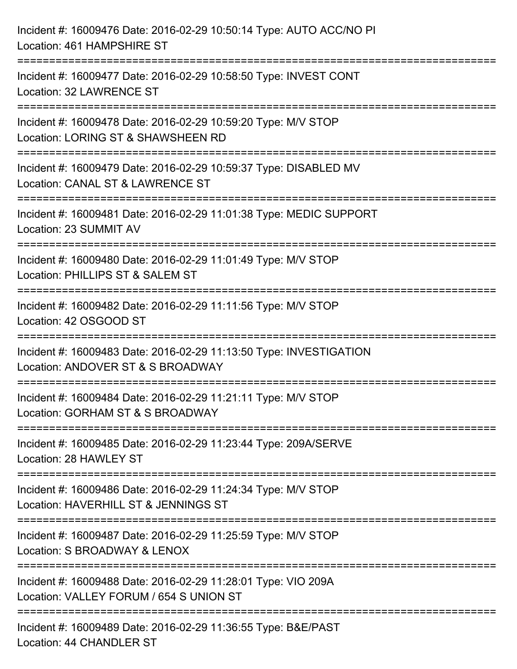| Incident #: 16009476 Date: 2016-02-29 10:50:14 Type: AUTO ACC/NO PI<br>Location: 461 HAMPSHIRE ST                                     |
|---------------------------------------------------------------------------------------------------------------------------------------|
| =====================================<br>Incident #: 16009477 Date: 2016-02-29 10:58:50 Type: INVEST CONT<br>Location: 32 LAWRENCE ST |
| Incident #: 16009478 Date: 2016-02-29 10:59:20 Type: M/V STOP<br>Location: LORING ST & SHAWSHEEN RD                                   |
| Incident #: 16009479 Date: 2016-02-29 10:59:37 Type: DISABLED MV<br>Location: CANAL ST & LAWRENCE ST                                  |
| Incident #: 16009481 Date: 2016-02-29 11:01:38 Type: MEDIC SUPPORT<br>Location: 23 SUMMIT AV                                          |
| Incident #: 16009480 Date: 2016-02-29 11:01:49 Type: M/V STOP<br>Location: PHILLIPS ST & SALEM ST                                     |
| Incident #: 16009482 Date: 2016-02-29 11:11:56 Type: M/V STOP<br>Location: 42 OSGOOD ST                                               |
| Incident #: 16009483 Date: 2016-02-29 11:13:50 Type: INVESTIGATION<br>Location: ANDOVER ST & S BROADWAY                               |
| Incident #: 16009484 Date: 2016-02-29 11:21:11 Type: M/V STOP<br>Location: GORHAM ST & S BROADWAY                                     |
| Incident #: 16009485 Date: 2016-02-29 11:23:44 Type: 209A/SERVE<br>Location: 28 HAWLEY ST                                             |
| Incident #: 16009486 Date: 2016-02-29 11:24:34 Type: M/V STOP<br>Location: HAVERHILL ST & JENNINGS ST                                 |
| Incident #: 16009487 Date: 2016-02-29 11:25:59 Type: M/V STOP<br>Location: S BROADWAY & LENOX                                         |
| Incident #: 16009488 Date: 2016-02-29 11:28:01 Type: VIO 209A<br>Location: VALLEY FORUM / 654 S UNION ST                              |
| Incident #: 16009489 Date: 2016-02-29 11:36:55 Type: B&E/PAST<br>Location: 44 CHANDLER ST                                             |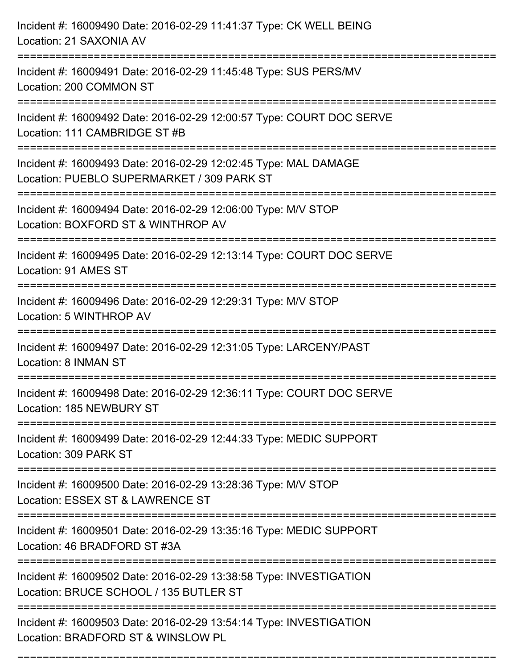| Incident #: 16009490 Date: 2016-02-29 11:41:37 Type: CK WELL BEING<br>Location: 21 SAXONIA AV                                                  |
|------------------------------------------------------------------------------------------------------------------------------------------------|
| =================================<br>Incident #: 16009491 Date: 2016-02-29 11:45:48 Type: SUS PERS/MV<br>Location: 200 COMMON ST               |
| Incident #: 16009492 Date: 2016-02-29 12:00:57 Type: COURT DOC SERVE<br>Location: 111 CAMBRIDGE ST #B                                          |
| Incident #: 16009493 Date: 2016-02-29 12:02:45 Type: MAL DAMAGE<br>Location: PUEBLO SUPERMARKET / 309 PARK ST<br>============================= |
| Incident #: 16009494 Date: 2016-02-29 12:06:00 Type: M/V STOP<br>Location: BOXFORD ST & WINTHROP AV                                            |
| Incident #: 16009495 Date: 2016-02-29 12:13:14 Type: COURT DOC SERVE<br>Location: 91 AMES ST<br>:=====================================         |
| Incident #: 16009496 Date: 2016-02-29 12:29:31 Type: M/V STOP<br>Location: 5 WINTHROP AV                                                       |
| Incident #: 16009497 Date: 2016-02-29 12:31:05 Type: LARCENY/PAST<br>Location: 8 INMAN ST                                                      |
| Incident #: 16009498 Date: 2016-02-29 12:36:11 Type: COURT DOC SERVE<br>Location: 185 NEWBURY ST                                               |
| Incident #: 16009499 Date: 2016-02-29 12:44:33 Type: MEDIC SUPPORT<br>Location: 309 PARK ST                                                    |
| Incident #: 16009500 Date: 2016-02-29 13:28:36 Type: M/V STOP<br>Location: ESSEX ST & LAWRENCE ST                                              |
| Incident #: 16009501 Date: 2016-02-29 13:35:16 Type: MEDIC SUPPORT<br>Location: 46 BRADFORD ST #3A                                             |
| Incident #: 16009502 Date: 2016-02-29 13:38:58 Type: INVESTIGATION<br>Location: BRUCE SCHOOL / 135 BUTLER ST                                   |
| Incident #: 16009503 Date: 2016-02-29 13:54:14 Type: INVESTIGATION<br>Location: BRADFORD ST & WINSLOW PL                                       |

===========================================================================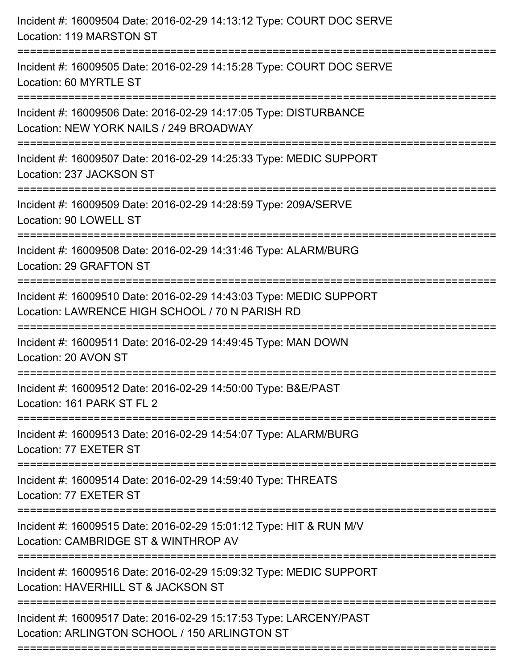| Incident #: 16009504 Date: 2016-02-29 14:13:12 Type: COURT DOC SERVE<br>Location: 119 MARSTON ST                                                 |
|--------------------------------------------------------------------------------------------------------------------------------------------------|
| Incident #: 16009505 Date: 2016-02-29 14:15:28 Type: COURT DOC SERVE<br>Location: 60 MYRTLE ST                                                   |
| Incident #: 16009506 Date: 2016-02-29 14:17:05 Type: DISTURBANCE<br>Location: NEW YORK NAILS / 249 BROADWAY<br>================================= |
| Incident #: 16009507 Date: 2016-02-29 14:25:33 Type: MEDIC SUPPORT<br>Location: 237 JACKSON ST                                                   |
| Incident #: 16009509 Date: 2016-02-29 14:28:59 Type: 209A/SERVE<br>Location: 90 LOWELL ST                                                        |
| Incident #: 16009508 Date: 2016-02-29 14:31:46 Type: ALARM/BURG<br>Location: 29 GRAFTON ST                                                       |
| Incident #: 16009510 Date: 2016-02-29 14:43:03 Type: MEDIC SUPPORT<br>Location: LAWRENCE HIGH SCHOOL / 70 N PARISH RD                            |
| Incident #: 16009511 Date: 2016-02-29 14:49:45 Type: MAN DOWN<br>Location: 20 AVON ST                                                            |
| Incident #: 16009512 Date: 2016-02-29 14:50:00 Type: B&E/PAST<br>Location: 161 PARK ST FL 2                                                      |
| Incident #: 16009513 Date: 2016-02-29 14:54:07 Type: ALARM/BURG<br>Location: 77 EXETER ST                                                        |
| Incident #: 16009514 Date: 2016-02-29 14:59:40 Type: THREATS<br>Location: 77 EXETER ST                                                           |
| Incident #: 16009515 Date: 2016-02-29 15:01:12 Type: HIT & RUN M/V<br>Location: CAMBRIDGE ST & WINTHROP AV                                       |
| Incident #: 16009516 Date: 2016-02-29 15:09:32 Type: MEDIC SUPPORT<br>Location: HAVERHILL ST & JACKSON ST                                        |
| Incident #: 16009517 Date: 2016-02-29 15:17:53 Type: LARCENY/PAST<br>Location: ARLINGTON SCHOOL / 150 ARLINGTON ST                               |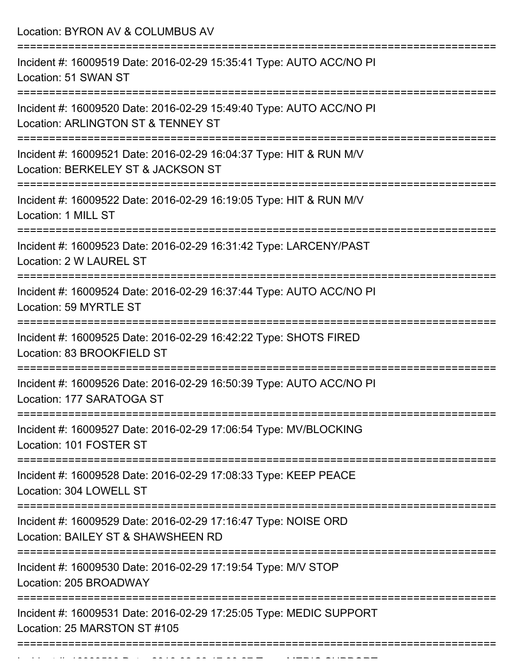Location: BYRON AV & COLUMBUS AV =========================================================================== Incident #: 16009519 Date: 2016-02-29 15:35:41 Type: AUTO ACC/NO PI Location: 51 SWAN ST =========================================================================== Incident #: 16009520 Date: 2016-02-29 15:49:40 Type: AUTO ACC/NO PI Location: ARLINGTON ST & TENNEY ST =========================================================================== Incident #: 16009521 Date: 2016-02-29 16:04:37 Type: HIT & RUN M/V Location: BERKELEY ST & JACKSON ST =========================================================================== Incident #: 16009522 Date: 2016-02-29 16:19:05 Type: HIT & RUN M/V Location: 1 MILL ST =========================================================================== Incident #: 16009523 Date: 2016-02-29 16:31:42 Type: LARCENY/PAST Location: 2 W LAUREL ST =========================================================================== Incident #: 16009524 Date: 2016-02-29 16:37:44 Type: AUTO ACC/NO PI Location: 59 MYRTLE ST =========================================================================== Incident #: 16009525 Date: 2016-02-29 16:42:22 Type: SHOTS FIRED Location: 83 BROOKFIELD ST =========================================================================== Incident #: 16009526 Date: 2016-02-29 16:50:39 Type: AUTO ACC/NO PI Location: 177 SARATOGA ST =========================================================================== Incident #: 16009527 Date: 2016-02-29 17:06:54 Type: MV/BLOCKING Location: 101 FOSTER ST =========================================================================== Incident #: 16009528 Date: 2016-02-29 17:08:33 Type: KEEP PEACE Location: 304 LOWELL ST =========================================================================== Incident #: 16009529 Date: 2016-02-29 17:16:47 Type: NOISE ORD Location: BAILEY ST & SHAWSHEEN RD =========================================================================== Incident #: 16009530 Date: 2016-02-29 17:19:54 Type: M/V STOP Location: 205 BROADWAY =========================================================================== Incident #: 16009531 Date: 2016-02-29 17:25:05 Type: MEDIC SUPPORT Location: 25 MARSTON ST #105 ===========================================================================

Incident #: 16009533 Date: 2016 02 29 17:30:27 Date: 2016 02 17:30:27 Type: Medicine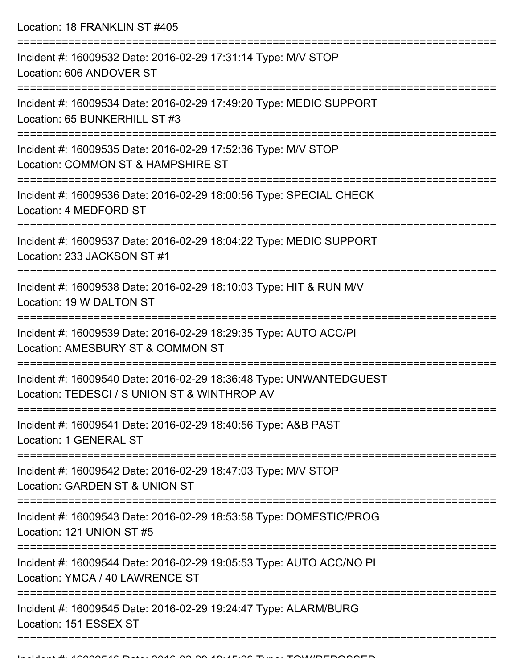Location: 18 FRANKLIN ST #405

| Incident #: 16009532 Date: 2016-02-29 17:31:14 Type: M/V STOP<br>Location: 606 ANDOVER ST                          |
|--------------------------------------------------------------------------------------------------------------------|
| Incident #: 16009534 Date: 2016-02-29 17:49:20 Type: MEDIC SUPPORT<br>Location: 65 BUNKERHILL ST #3                |
| Incident #: 16009535 Date: 2016-02-29 17:52:36 Type: M/V STOP<br>Location: COMMON ST & HAMPSHIRE ST                |
| Incident #: 16009536 Date: 2016-02-29 18:00:56 Type: SPECIAL CHECK<br>Location: 4 MEDFORD ST                       |
| Incident #: 16009537 Date: 2016-02-29 18:04:22 Type: MEDIC SUPPORT<br>Location: 233 JACKSON ST #1                  |
| Incident #: 16009538 Date: 2016-02-29 18:10:03 Type: HIT & RUN M/V<br>Location: 19 W DALTON ST                     |
| Incident #: 16009539 Date: 2016-02-29 18:29:35 Type: AUTO ACC/PI<br>Location: AMESBURY ST & COMMON ST              |
| Incident #: 16009540 Date: 2016-02-29 18:36:48 Type: UNWANTEDGUEST<br>Location: TEDESCI / S UNION ST & WINTHROP AV |
| Incident #: 16009541 Date: 2016-02-29 18:40:56 Type: A&B PAST<br>Location: 1 GENERAL ST                            |
| Incident #: 16009542 Date: 2016-02-29 18:47:03 Type: M/V STOP<br>Location: GARDEN ST & UNION ST                    |
| Incident #: 16009543 Date: 2016-02-29 18:53:58 Type: DOMESTIC/PROG<br>Location: 121 UNION ST #5                    |
| Incident #: 16009544 Date: 2016-02-29 19:05:53 Type: AUTO ACC/NO PI<br>Location: YMCA / 40 LAWRENCE ST             |
| Incident #: 16009545 Date: 2016-02-29 19:24:47 Type: ALARM/BURG<br>Location: 151 ESSEX ST                          |
|                                                                                                                    |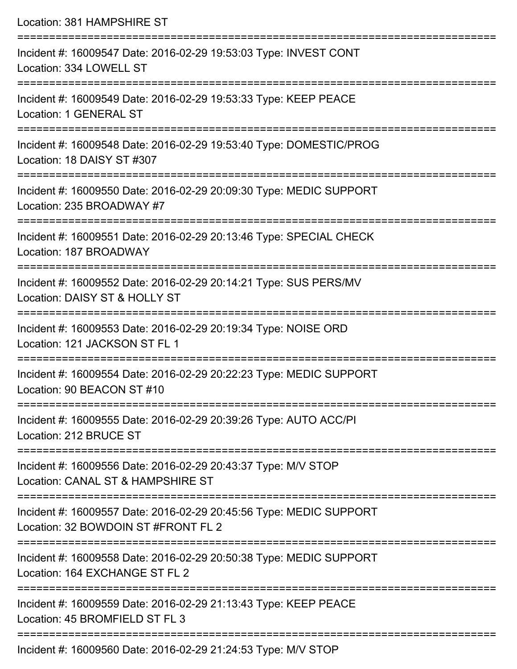| Location: 381 HAMPSHIRE ST                                                                                              |
|-------------------------------------------------------------------------------------------------------------------------|
| Incident #: 16009547 Date: 2016-02-29 19:53:03 Type: INVEST CONT<br>Location: 334 LOWELL ST                             |
| Incident #: 16009549 Date: 2016-02-29 19:53:33 Type: KEEP PEACE<br>Location: 1 GENERAL ST                               |
| Incident #: 16009548 Date: 2016-02-29 19:53:40 Type: DOMESTIC/PROG<br>Location: 18 DAISY ST #307                        |
| Incident #: 16009550 Date: 2016-02-29 20:09:30 Type: MEDIC SUPPORT<br>Location: 235 BROADWAY #7                         |
| Incident #: 16009551 Date: 2016-02-29 20:13:46 Type: SPECIAL CHECK<br>Location: 187 BROADWAY                            |
| Incident #: 16009552 Date: 2016-02-29 20:14:21 Type: SUS PERS/MV<br>Location: DAISY ST & HOLLY ST                       |
| :===================<br>Incident #: 16009553 Date: 2016-02-29 20:19:34 Type: NOISE ORD<br>Location: 121 JACKSON ST FL 1 |
| Incident #: 16009554 Date: 2016-02-29 20:22:23 Type: MEDIC SUPPORT<br>Location: 90 BEACON ST #10                        |
| Incident #: 16009555 Date: 2016-02-29 20:39:26 Type: AUTO ACC/PI<br>Location: 212 BRUCE ST                              |
| Incident #: 16009556 Date: 2016-02-29 20:43:37 Type: M/V STOP<br>Location: CANAL ST & HAMPSHIRE ST                      |
| Incident #: 16009557 Date: 2016-02-29 20:45:56 Type: MEDIC SUPPORT<br>Location: 32 BOWDOIN ST #FRONT FL 2               |
| Incident #: 16009558 Date: 2016-02-29 20:50:38 Type: MEDIC SUPPORT<br>Location: 164 EXCHANGE ST FL 2                    |
| Incident #: 16009559 Date: 2016-02-29 21:13:43 Type: KEEP PEACE<br>Location: 45 BROMFIELD ST FL 3                       |
| $Incidont #: 16000660 \text{ Dato}: 2016.02.20.21:24:52 \text{ Tuno}: MM/ZTOD$                                          |

Incident #: 16009560 Date: 2016-02-29 21:24:53 Type: M/V STOP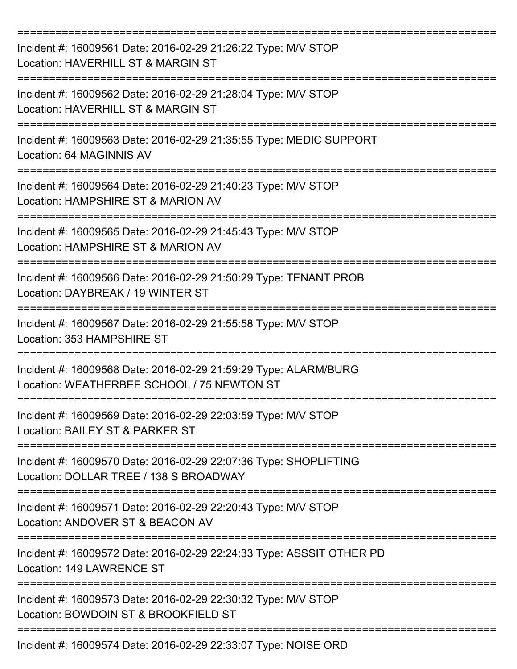| Incident #: 16009561 Date: 2016-02-29 21:26:22 Type: M/V STOP<br>Location: HAVERHILL ST & MARGIN ST           |
|---------------------------------------------------------------------------------------------------------------|
| Incident #: 16009562 Date: 2016-02-29 21:28:04 Type: M/V STOP<br>Location: HAVERHILL ST & MARGIN ST           |
| Incident #: 16009563 Date: 2016-02-29 21:35:55 Type: MEDIC SUPPORT<br>Location: 64 MAGINNIS AV                |
| Incident #: 16009564 Date: 2016-02-29 21:40:23 Type: M/V STOP<br>Location: HAMPSHIRE ST & MARION AV           |
| Incident #: 16009565 Date: 2016-02-29 21:45:43 Type: M/V STOP<br>Location: HAMPSHIRE ST & MARION AV           |
| Incident #: 16009566 Date: 2016-02-29 21:50:29 Type: TENANT PROB<br>Location: DAYBREAK / 19 WINTER ST         |
| Incident #: 16009567 Date: 2016-02-29 21:55:58 Type: M/V STOP<br>Location: 353 HAMPSHIRE ST<br>=========      |
| Incident #: 16009568 Date: 2016-02-29 21:59:29 Type: ALARM/BURG<br>Location: WEATHERBEE SCHOOL / 75 NEWTON ST |
| Incident #: 16009569 Date: 2016-02-29 22:03:59 Type: M/V STOP<br>Location: BAILEY ST & PARKER ST              |
| Incident #: 16009570 Date: 2016-02-29 22:07:36 Type: SHOPLIFTING<br>Location: DOLLAR TREE / 138 S BROADWAY    |
| Incident #: 16009571 Date: 2016-02-29 22:20:43 Type: M/V STOP<br>Location: ANDOVER ST & BEACON AV             |
| Incident #: 16009572 Date: 2016-02-29 22:24:33 Type: ASSSIT OTHER PD<br>Location: 149 LAWRENCE ST             |
| Incident #: 16009573 Date: 2016-02-29 22:30:32 Type: M/V STOP<br>Location: BOWDOIN ST & BROOKFIELD ST         |
| Incident #: 16009574 Date: 2016-02-29 22:33:07 Type: NOISE ORD                                                |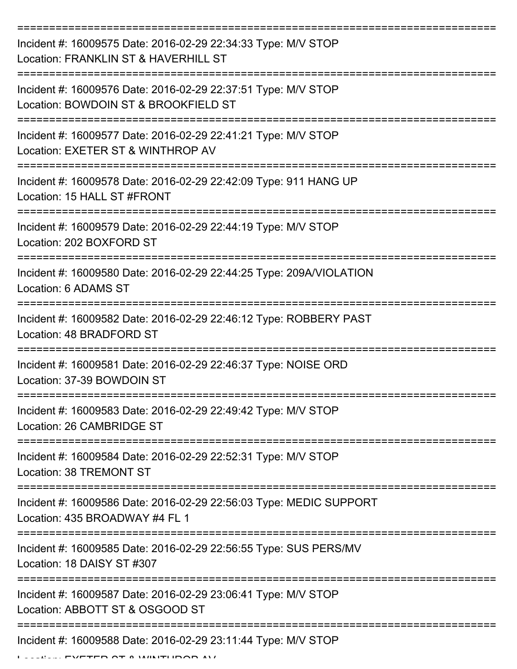| Incident #: 16009575 Date: 2016-02-29 22:34:33 Type: M/V STOP<br>Location: FRANKLIN ST & HAVERHILL ST      |
|------------------------------------------------------------------------------------------------------------|
| Incident #: 16009576 Date: 2016-02-29 22:37:51 Type: M/V STOP<br>Location: BOWDOIN ST & BROOKFIELD ST      |
| Incident #: 16009577 Date: 2016-02-29 22:41:21 Type: M/V STOP<br>Location: EXETER ST & WINTHROP AV         |
| Incident #: 16009578 Date: 2016-02-29 22:42:09 Type: 911 HANG UP<br>Location: 15 HALL ST #FRONT            |
| Incident #: 16009579 Date: 2016-02-29 22:44:19 Type: M/V STOP<br>Location: 202 BOXFORD ST                  |
| Incident #: 16009580 Date: 2016-02-29 22:44:25 Type: 209A/VIOLATION<br>Location: 6 ADAMS ST                |
| Incident #: 16009582 Date: 2016-02-29 22:46:12 Type: ROBBERY PAST<br>Location: 48 BRADFORD ST              |
| ==========<br>Incident #: 16009581 Date: 2016-02-29 22:46:37 Type: NOISE ORD<br>Location: 37-39 BOWDOIN ST |
| Incident #: 16009583 Date: 2016-02-29 22:49:42 Type: M/V STOP<br>Location: 26 CAMBRIDGE ST                 |
| Incident #: 16009584 Date: 2016-02-29 22:52:31 Type: M/V STOP<br>Location: 38 TREMONT ST                   |
| Incident #: 16009586 Date: 2016-02-29 22:56:03 Type: MEDIC SUPPORT<br>Location: 435 BROADWAY #4 FL 1       |
| Incident #: 16009585 Date: 2016-02-29 22:56:55 Type: SUS PERS/MV<br>Location: 18 DAISY ST #307             |
| Incident #: 16009587 Date: 2016-02-29 23:06:41 Type: M/V STOP<br>Location: ABBOTT ST & OSGOOD ST           |
| Incident #: 16009588 Date: 2016-02-29 23:11:44 Type: M/V STOP                                              |